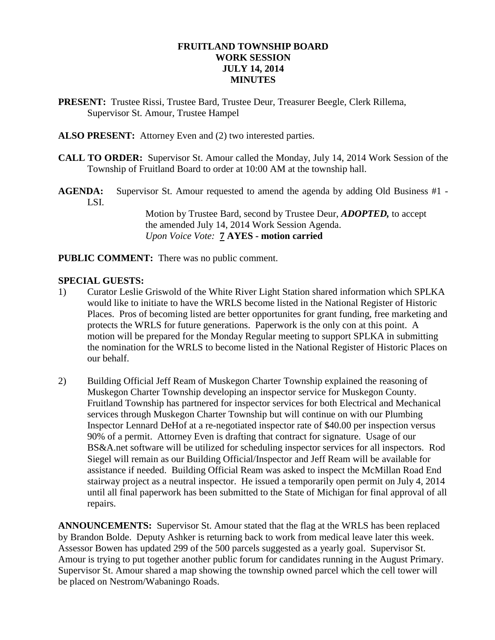### **FRUITLAND TOWNSHIP BOARD WORK SESSION JULY 14, 2014 MINUTES**

- **PRESENT:** Trustee Rissi, Trustee Bard, Trustee Deur, Treasurer Beegle, Clerk Rillema, Supervisor St. Amour, Trustee Hampel
- **ALSO PRESENT:** Attorney Even and (2) two interested parties.
- **CALL TO ORDER:** Supervisor St. Amour called the Monday, July 14, 2014 Work Session of the Township of Fruitland Board to order at 10:00 AM at the township hall.
- **AGENDA:** Supervisor St. Amour requested to amend the agenda by adding Old Business #1 LSI.

Motion by Trustee Bard, second by Trustee Deur, *ADOPTED,* to accept the amended July 14, 2014 Work Session Agenda. *Upon Voice Vote:* **7 AYES - motion carried**

**PUBLIC COMMENT:** There was no public comment.

#### **SPECIAL GUESTS:**

- 1) Curator Leslie Griswold of the White River Light Station shared information which SPLKA would like to initiate to have the WRLS become listed in the National Register of Historic Places. Pros of becoming listed are better opportunites for grant funding, free marketing and protects the WRLS for future generations. Paperwork is the only con at this point. A motion will be prepared for the Monday Regular meeting to support SPLKA in submitting the nomination for the WRLS to become listed in the National Register of Historic Places on our behalf.
- 2) Building Official Jeff Ream of Muskegon Charter Township explained the reasoning of Muskegon Charter Township developing an inspector service for Muskegon County. Fruitland Township has partnered for inspector services for both Electrical and Mechanical services through Muskegon Charter Township but will continue on with our Plumbing Inspector Lennard DeHof at a re-negotiated inspector rate of \$40.00 per inspection versus 90% of a permit. Attorney Even is drafting that contract for signature. Usage of our BS&A.net software will be utilized for scheduling inspector services for all inspectors. Rod Siegel will remain as our Building Official/Inspector and Jeff Ream will be available for assistance if needed. Building Official Ream was asked to inspect the McMillan Road End stairway project as a neutral inspector. He issued a temporarily open permit on July 4, 2014 until all final paperwork has been submitted to the State of Michigan for final approval of all repairs.

**ANNOUNCEMENTS:** Supervisor St. Amour stated that the flag at the WRLS has been replaced by Brandon Bolde. Deputy Ashker is returning back to work from medical leave later this week. Assessor Bowen has updated 299 of the 500 parcels suggested as a yearly goal. Supervisor St. Amour is trying to put together another public forum for candidates running in the August Primary. Supervisor St. Amour shared a map showing the township owned parcel which the cell tower will be placed on Nestrom/Wabaningo Roads.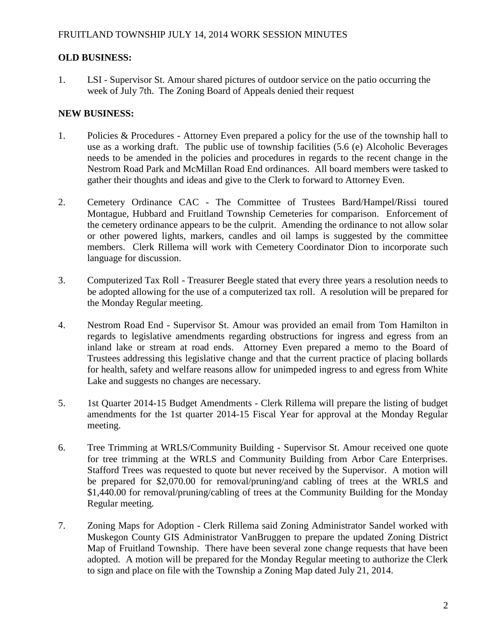# **OLD BUSINESS:**

1. LSI - Supervisor St. Amour shared pictures of outdoor service on the patio occurring the week of July 7th. The Zoning Board of Appeals denied their request

## **NEW BUSINESS:**

- 1. Policies & Procedures Attorney Even prepared a policy for the use of the township hall to use as a working draft. The public use of township facilities (5.6 (e) Alcoholic Beverages needs to be amended in the policies and procedures in regards to the recent change in the Nestrom Road Park and McMillan Road End ordinances. All board members were tasked to gather their thoughts and ideas and give to the Clerk to forward to Attorney Even.
- 2. Cemetery Ordinance CAC The Committee of Trustees Bard/Hampel/Rissi toured Montague, Hubbard and Fruitland Township Cemeteries for comparison. Enforcement of the cemetery ordinance appears to be the culprit. Amending the ordinance to not allow solar or other powered lights, markers, candles and oil lamps is suggested by the committee members. Clerk Rillema will work with Cemetery Coordinator Dion to incorporate such language for discussion.
- 3. Computerized Tax Roll Treasurer Beegle stated that every three years a resolution needs to be adopted allowing for the use of a computerized tax roll. A resolution will be prepared for the Monday Regular meeting.
- 4. Nestrom Road End Supervisor St. Amour was provided an email from Tom Hamilton in regards to legislative amendments regarding obstructions for ingress and egress from an inland lake or stream at road ends. Attorney Even prepared a memo to the Board of Trustees addressing this legislative change and that the current practice of placing bollards for health, safety and welfare reasons allow for unimpeded ingress to and egress from White Lake and suggests no changes are necessary.
- 5. 1st Quarter 2014-15 Budget Amendments Clerk Rillema will prepare the listing of budget amendments for the 1st quarter 2014-15 Fiscal Year for approval at the Monday Regular meeting.
- 6. Tree Trimming at WRLS/Community Building Supervisor St. Amour received one quote for tree trimming at the WRLS and Community Building from Arbor Care Enterprises. Stafford Trees was requested to quote but never received by the Supervisor. A motion will be prepared for \$2,070.00 for removal/pruning/and cabling of trees at the WRLS and \$1,440.00 for removal/pruning/cabling of trees at the Community Building for the Monday Regular meeting.
- 7. Zoning Maps for Adoption Clerk Rillema said Zoning Administrator Sandel worked with Muskegon County GIS Administrator VanBruggen to prepare the updated Zoning District Map of Fruitland Township. There have been several zone change requests that have been adopted. A motion will be prepared for the Monday Regular meeting to authorize the Clerk to sign and place on file with the Township a Zoning Map dated July 21, 2014.